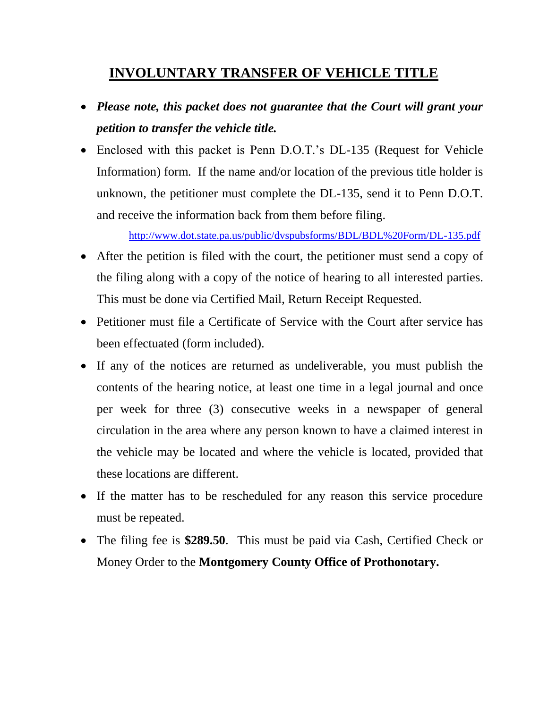# **INVOLUNTARY TRANSFER OF VEHICLE TITLE**

- *Please note, this packet does not guarantee that the Court will grant your petition to transfer the vehicle title.*
- Enclosed with this packet is Penn D.O.T.'s DL-135 (Request for Vehicle Information) form. If the name and/or location of the previous title holder is unknown, the petitioner must complete the DL-135, send it to Penn D.O.T. and receive the information back from them before filing.

<http://www.dot.state.pa.us/public/dvspubsforms/BDL/BDL%20Form/DL-135.pdf>

- After the petition is filed with the court, the petitioner must send a copy of the filing along with a copy of the notice of hearing to all interested parties. This must be done via Certified Mail, Return Receipt Requested.
- Petitioner must file a Certificate of Service with the Court after service has been effectuated (form included).
- If any of the notices are returned as undeliverable, you must publish the contents of the hearing notice, at least one time in a legal journal and once per week for three (3) consecutive weeks in a newspaper of general circulation in the area where any person known to have a claimed interest in the vehicle may be located and where the vehicle is located, provided that these locations are different.
- If the matter has to be rescheduled for any reason this service procedure must be repeated.
- The filing fee is **\$289.50**. This must be paid via Cash, Certified Check or Money Order to the **Montgomery County Office of Prothonotary.**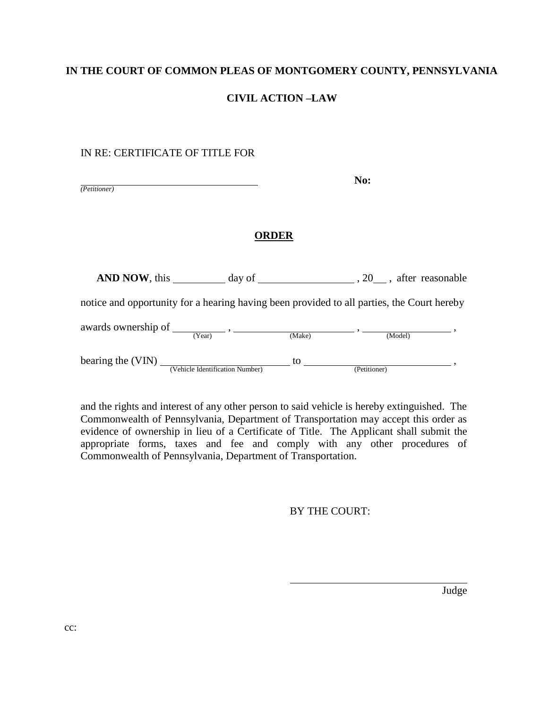#### **IN THE COURT OF COMMON PLEAS OF MONTGOMERY COUNTY, PENNSYLVANIA**

## **CIVIL ACTION –LAW**

#### IN RE: CERTIFICATE OF TITLE FOR

| (Petitioner) |  |  |  |
|--------------|--|--|--|

**No:**

#### **ORDER**

AND NOW, this  $\_\_\_\_\_\_\_\$  day of  $\_\_\_\_\_\_\_\_\_$ , 20 , after reasonable

notice and opportunity for a hearing having been provided to all parties, the Court hereby

awards ownership of  $\frac{\overline{(Year)} \cdot \overline{(\frac{1}{1 - \frac{1}{1 - \frac{1}{1 - \frac{1}{1 - \frac{1}{1 - \frac{1}{1 - \frac{1}{1 - \frac{1}{1 - \frac{1}{1 - \frac{1}{1 - \frac{1}{1 - \frac{1}{1 - \frac{1}{1 - \frac{1}{1 - \frac{1}{1 - \frac{1}{1 - \frac{1}{1 - \frac{1}{1 - \frac{1}{1 - \frac{1}{1 - \frac{1}{1 - \frac{1}{1 - \frac{1}{1 - \frac{1}{1 - \frac{1}{1 - \frac{1}{1 - \frac{1$ 

bearing the  $(VIN)$   $\frac{1}{(Vehicle Identification Number)}$  to  $\frac{1}{(Petitioner)}$ ,

and the rights and interest of any other person to said vehicle is hereby extinguished. The Commonwealth of Pennsylvania, Department of Transportation may accept this order as evidence of ownership in lieu of a Certificate of Title. The Applicant shall submit the appropriate forms, taxes and fee and comply with any other procedures of Commonwealth of Pennsylvania, Department of Transportation.

BY THE COURT:

Judge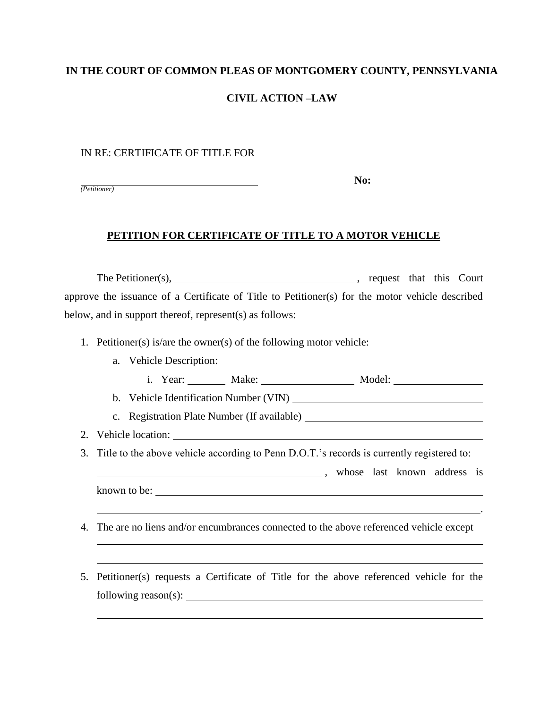#### **IN THE COURT OF COMMON PLEAS OF MONTGOMERY COUNTY, PENNSYLVANIA**

## **CIVIL ACTION –LAW**

#### IN RE: CERTIFICATE OF TITLE FOR

*(Petitioner)*

**No:**

# **PETITION FOR CERTIFICATE OF TITLE TO A MOTOR VEHICLE**

The Petitioner(s), , request that this Court approve the issuance of a Certificate of Title to Petitioner(s) for the motor vehicle described below, and in support thereof, represent(s) as follows:

- 1. Petitioner(s) is/are the owner(s) of the following motor vehicle:
	- a. Vehicle Description:

| rear:<br>Model.<br>Make.<br>. .<br>------- |  |
|--------------------------------------------|--|
|--------------------------------------------|--|

b. Vehicle Identification Number (VIN)

c. Registration Plate Number (If available)

- 2. Vehicle location:
- 3. Title to the above vehicle according to Penn D.O.T.'s records is currently registered to:

, whose last known address is

.

known to be:

 $\overline{a}$ 

- 4. The are no liens and/or encumbrances connected to the above referenced vehicle except
- 5. Petitioner(s) requests a Certificate of Title for the above referenced vehicle for the following reason(s):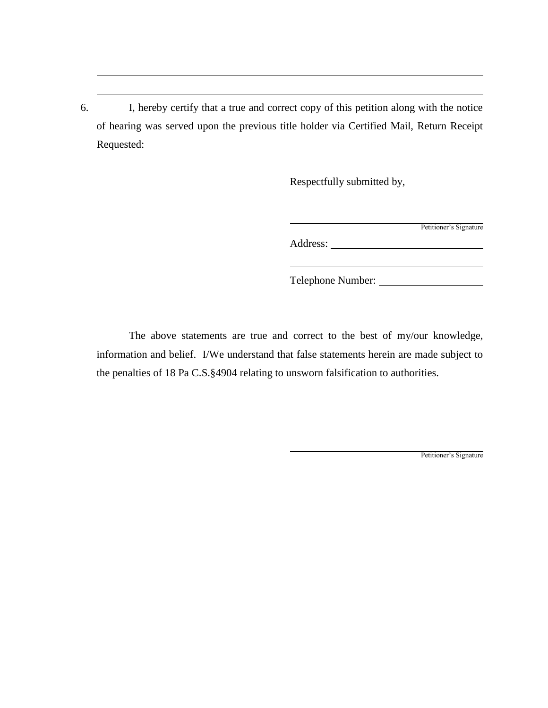6. I, hereby certify that a true and correct copy of this petition along with the notice of hearing was served upon the previous title holder via Certified Mail, Return Receipt Requested:

Respectfully submitted by,

| Petitioner's Signature |
|------------------------|
|                        |

Address:

Telephone Number:

The above statements are true and correct to the best of my/our knowledge, information and belief. I/We understand that false statements herein are made subject to the penalties of 18 Pa C.S.§4904 relating to unsworn falsification to authorities.

Petitioner's Signature